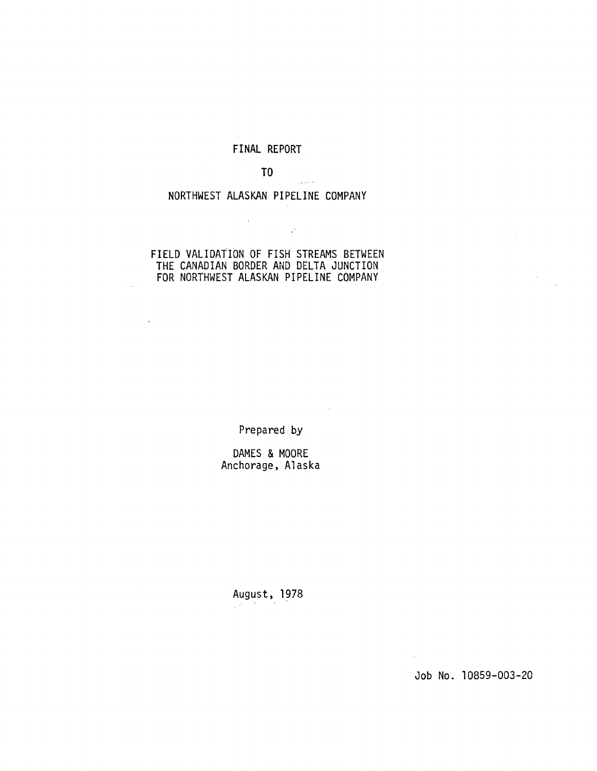# FINAL REPORT

# T<sub>0</sub>

 $\mathcal{P}$ 

# NORTHWEST ALASKAN PIPELINE COMPANY

 $\overline{\phantom{a}}$ 

# FIELD VALIDATION OF FISH STREAMS BETWEEN THE CANADIAN BORDER AND DELTA JUNCTION FOR NORTHWEST ALASKAN PIPELINE COMPANY

Prepared by

DAMES & MOORE Anchorage, Alaska

August, 1978

Job No. 10859-003-20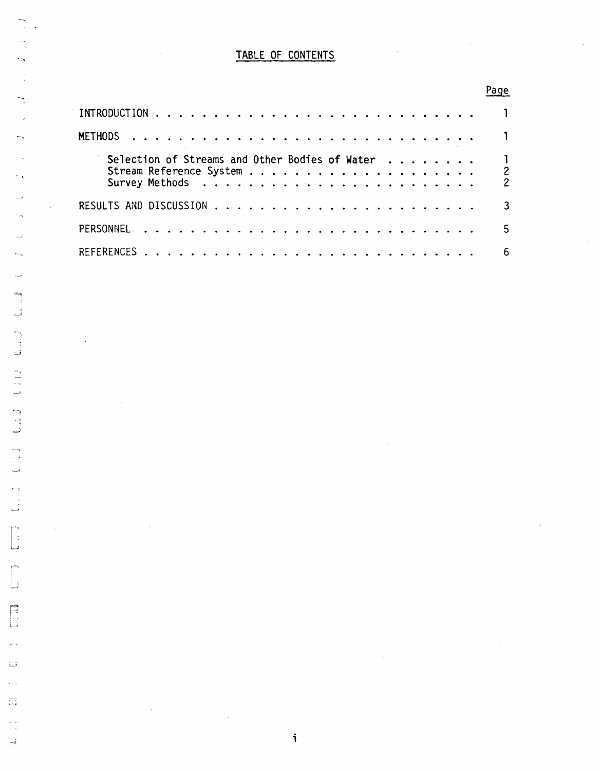# TABLE OF CONTENTS

# Page

| <b>METHODS</b>                                 |                                            |
|------------------------------------------------|--------------------------------------------|
| Selection of Streams and Other Bodies of Water | $\overline{\phantom{a}}$<br>$\overline{2}$ |
|                                                |                                            |
|                                                | 5                                          |
|                                                | 6.                                         |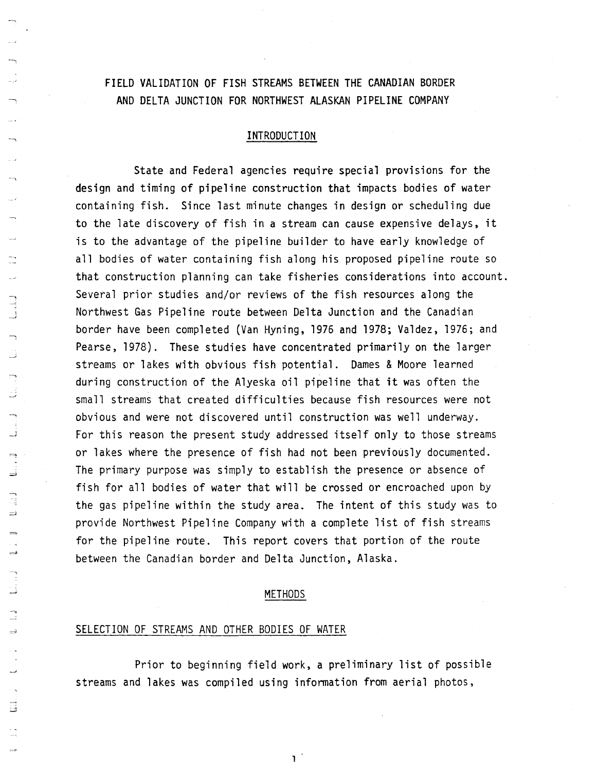# FIELD VALIDATION OF FISH STREAMS BETWEEN THE CANADIAN BORDER AND DELTA JUNCTION FOR NORTHWEST ALASKAN PIPELINE COMPANY

# INTRODUCTION

State and Federal agencies require special provisions for the design and timing of pipeline construction that impacts bodies of water containing fish. Since last minute changes in design or scheduling due to the late discovery of fish in a stream can cause expensive delays, it is to the advantage of the pipeline builder to have early knowledge of all bodies of water containing fish along his proposed pipeline route so that construction planning can take fisheries considerations into account. Several prior studies and/or reviews of the fish resources along the Northwest Gas Pipeline route between Delta Junction and the Canadian border have been completed (Van Hyning, 1976 and 1978; Valdez, 1976; and Pearse, 1978). These studies have concentrated primarily on the larger streams or lakes with obvious fish potential. Dames & Moore learned during construction of the Alyeska oil pipeline that it was often the small streams that created difficulties because fish resources were not obvious and were not discovered until construction was well underway. For this reason the present study addressed itself only to those streams or lakes where the presence of fish had not been previously documented. The primary purpose was simply to establish the presence or absence of fish for all bodies of water that will be crossed or encroached upon by the gas pipeline within the study area. The intent of this study was to provide Northwest Pipeline Company with a complete list of fish streams for the pipeline route. This report covers that portion of the route between the Canadian border and Delta Junction, Alaska.

# METHODS

# SELECTION OF STREAMS AND OTHER BODIES OF WATER

Prior to beginning field work, a preliminary list of possible streams and lakes was compiled using information from aerial photos,

 $1<sup>1</sup>$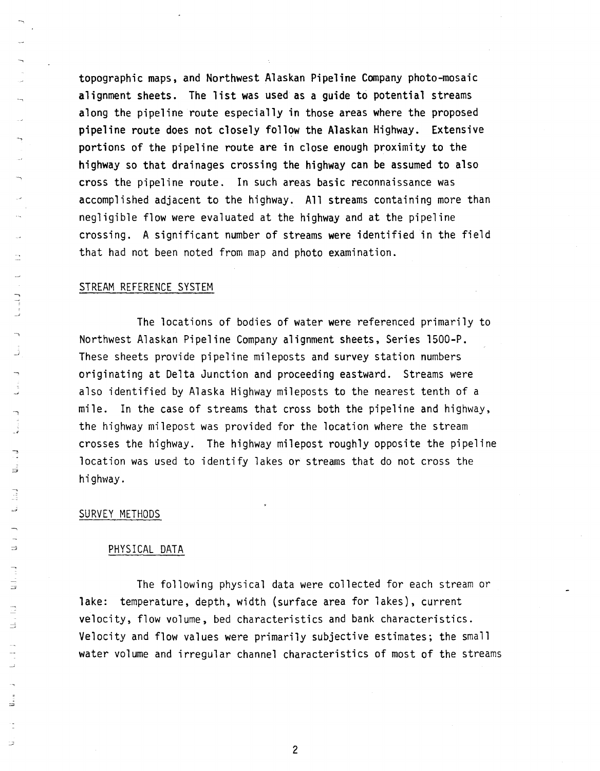topographic maps, and Northwest Alaskan Pipeline Company photo-mosaic alignment sheets. The list was used as a guide to potential streams along the pipeline route especially in those areas where the proposed pipeline route does not closely follow the Alaskan Highway. Extensive portions of the pipeline route are in close enough proximity to the highway so that drainages crossing the highway can be assumed to also cross the pipeline route. In such areas basic reconnaissance was accomplished adjacent to the highway. All streams containing more than negligible flow were evaluated at the highway and at the pipeline crossing. A significant number of streams were identified in the field that had not been noted from map and photo examination.

# STREAM REFERENCE SYSTEM

The locations of bodies of water were referenced primarily to Northwest Alaskan Pipeline Company alignment sheets, Series l500-P. These sheets provide pipeline mileposts and survey station numbers originating at Delta Junction and proceeding eastward. Streams were also identified by Alaska Highway mileposts to the nearest tenth of a mile. In the case of streams that cross both the pipeline and highway, the highway milepost was provided for the location where the stream crosses the highway. The highway milepost roughly opposite the pipeline location was used to identify lakes or streams that do not cross the highway.

### SURVEY METHODS

### PHYSICAL DATA

The following physical data were collected for each stream or lake: temperature, depth, width (surface area for lakes), current velocity, flow volume, bed characteristics and bank characteristics. Velocity and flow values were primarily subjective estimates; the small water volume and irregular channel characteristics of most of the streams

2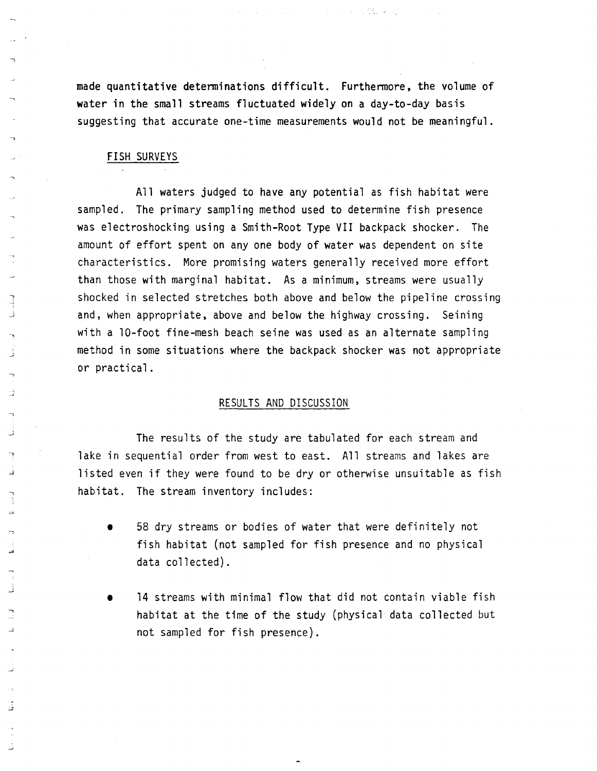made quantitative determinations difficult. Furthermore, the volume of water in the small streams fluctuated widely on a day-to-day basis suggesting that accurate one-time measurements would not be meaningful.

# FISH SURVEYS

All waters judged to have any potential as fish habitat were sampled. The primary sampling method used to determine fish presence was electroshocking using a Smith-Root Type VII backpack shocker. The amount of effort spent on anyone body of water was dependent on site characteristics. More promising waters generally received more effort than those with marginal habitat. As a minimum, streams were usually shocked in selected stretches both above and below the pipeline crossing and, when appropriate, above and below the highway crossing. Seining with a lO-foot fine-mesh beach seine was used as an alternate sampling method in some situations where the backpack shocker was not appropriate or practical.

# RESULTS AND DISCUSSION

The results of the study are tabulated for each stream and lake in sequential order from west to east. All streams and lakes are listed even if they were found to be dry or otherwise unsuitable as fish habitat. The stream inventory includes:

- 58 dry streams or bodies of water that were definitely not fish habitat (not sampled for fish presence and no physical data collected).
- 14 streams with minimal flow that did not contain viable fish habitat at the time of the study (physical data collected but not sampled for fish presence).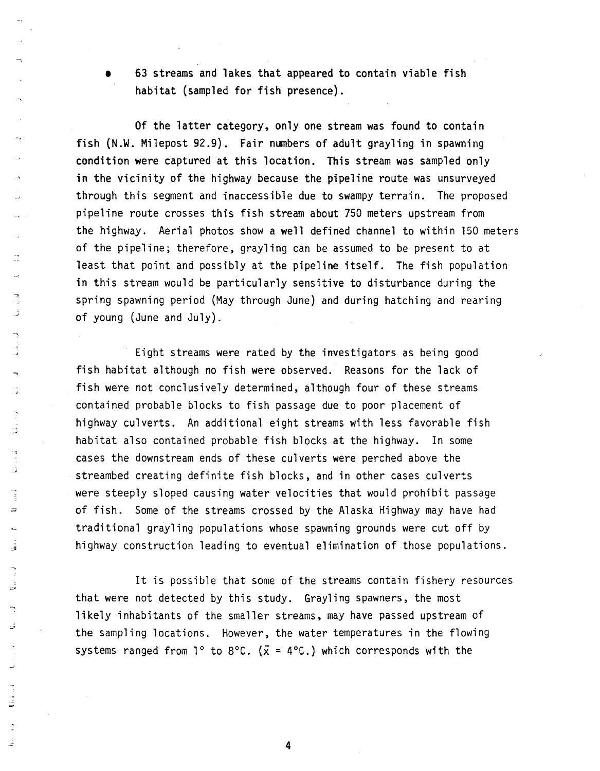• 63 streams and lakes that appeared to contain viable fish habitat (sampled for fish presence).

Of the latter category, only one stream was found to contain fish (N.W. Milepost 92.9). Fair numbers of adult grayling in spawning condition were captured at this location. This stream was sampled only in the vicinity of the highway because the pipeline route was unsurveyed through this segment and inaccessible due to swampy terrain. The proposed pipeline route crosses this fish stream about 750 meters upstream from the highway. Aerial photos show a well defined channel to within 150 meters of the pipeline; therefore, grayling can be assumed to be present to at least that point and possibly at the pipeline itself. The fish population in this stream would be particularly sensitive to disturbance during the spring spawning period (May through June) and during hatching and rearing of young (June and July).

Eight streams were rated by the investigators as being good fish habitat although no fish were observed. Reasons for the lack of fish were not conclusively determined, although four of these streams contained probable blocks to fish passage due to poor placement of highway culverts. An additional eight streams with less favorable fish habitat also contained probable fish blocks at the highway. In some cases the downstream ends of these culverts were perched above the streambed creating definite fish blocks, and in other cases culverts were steeply sloped causing water velocities that would prohibit passage of fish. Some of the streams crossed by the Alaska Highway may have had traditional grayling populations whose spawning grounds were cut off by highway construction leading to eventual elimination of those populations.

It is possible that some of the streams contain fishery resources that were not detected by this study. Grayling spawners, the most likely inhabitants of the smaller streams, may have passed upstream of the sampling locations. However, the water temperatures in the flowing systems ranged from  $1^{\circ}$  to 8°C. ( $\bar{x}$  = 4°C.) which corresponds with the

4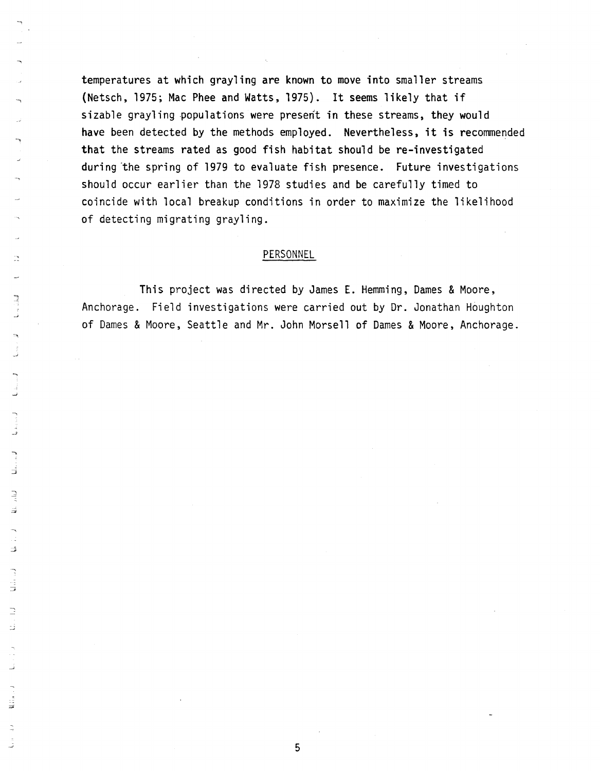temperatures at which grayling are known to move into smaller streams (Netsch, 1975; Mac Phee and Watts, 1975). It seems likely that if sizable grayling populations were present in these streams, they would have been detected by the methods employed. Nevertheless, it is recommended that the streams rated as good fish habitat should be re-investigated during "the spring of 1979 to evaluate fish presence. Future investigations should occur earlier than the 1978 studies and be carefully timed to coincide with local breakup conditions in order to maximize the likelihood of detecting migrating grayling.

### PERSONNEL

This project was directed by James E. Hemming, Dames & Moore, Anchorage. Field investigations were carried out by Dr. Jonathan Houghton of Dames & Moore, Seattle and Mr. John Morsell of Dames & Moore, Anchorage.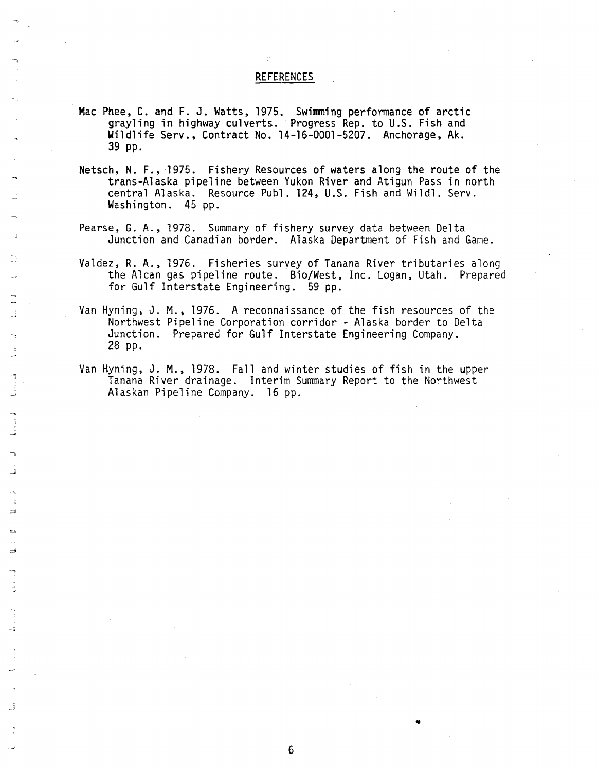# REFERENCES

- Mac Phee, C. and F. J. Watts, 1975. Swimming performance of arctic grayling in highway culverts. Progress Rep. to U.S. Fish and Wildlife Serv., Contract No. 14-16-0001-5207. Anchorage, Ak. 39 pp.
- Netsch, N. F., 1975. Fishery Resources of waters along the route of the trans-Alaska pipeline between Yukon River and Atigun Pass in north central Alaska. Resource Publ. 124, U.S. Fish and Wildl. Serv. Washington. 45 pp.
- Pearse, G. A., 1978. Summary of fishery survey data between Delta Junction and Canadian border. Alaska Department of Fish and Game.
- Valdez, R. A., 1976. Fisheries survey of Tanana River tributaries along the Alcan gas pipeline route. Bio/West, Inc. Logan, Utah. Prepared for Gulf Interstate Engineering. 59 pp.
- Van Hyning, J. M., 1976. A reconnaissance of the fish resources of the Northwest Pipeline Corporation corridor - Alaska border to Delta Junction. Prepared for Gulf Interstate Engineering Company. 28 pp.
	- Van Hyning, J. M., 1978. Fall and winter studies of fish in the upper Tanana River drainage. Interim Summary Report to the Northwest Alaskan Pipeline Company. 16 pp.

..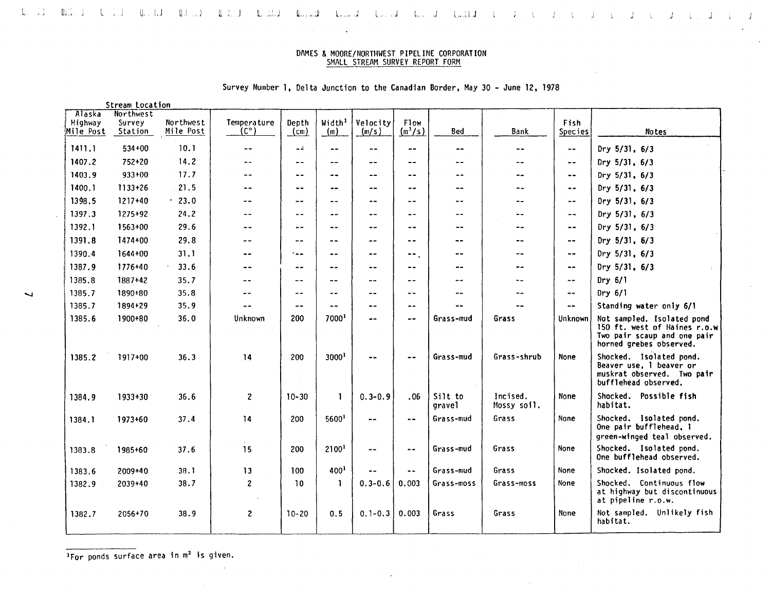### $\mathbb{Q}_1 \subset \mathbb{Z}^3$ m:." [ ,) lI, I.J ull ,J <sup>u</sup> <sup>t</sup> <sup>J</sup> <sup>u</sup> ~,JI l, l,J L, ,j l" ,IIJ <sup>j</sup> <sup>j</sup> <sup>J</sup>

 $\sim 100$  km s  $^{-1}$ 

 $\sim$ 

### DAMES & MOORE/NORTIlWEST P{PELINE CORPORATION SMALL STREAM SURVEY REPORT FORM

|  |  |  |  | Survey Number 1, Delta Junction to the Canadian Border, May 30 - June 12, 1978 |  |  |  |  |  |  |  |  |  |  |
|--|--|--|--|--------------------------------------------------------------------------------|--|--|--|--|--|--|--|--|--|--|
|--|--|--|--|--------------------------------------------------------------------------------|--|--|--|--|--|--|--|--|--|--|

Stream location

|                                | <b>Stream Lutation</b>         |                        |                              |                          |                           |                             |                             |                   |                         |                          |                                                                                                                      |
|--------------------------------|--------------------------------|------------------------|------------------------------|--------------------------|---------------------------|-----------------------------|-----------------------------|-------------------|-------------------------|--------------------------|----------------------------------------------------------------------------------------------------------------------|
| Alaska<br>Highway<br>Mile Post | Northwest<br>Survey<br>Station | Northwest<br>Mile Post | Temperature<br>$(C^{\circ})$ | Depth<br>$(\mathsf{cm})$ | Width <sup>1</sup><br>(m) | Velocity<br>(m/s)           | Flow<br>$(m^3/s)$           | Bed               | Bank                    | Fish<br><b>Species</b>   | Notes                                                                                                                |
| 1411.1                         | 534+00                         | 10.1                   | $- -$                        | $ -$                     | $\sim$ $-$                | $- -$                       | $\sim$ $-$                  | --                | $\sim$ $\sim$           | $\sim$ $\sim$            | Dry $5/31, 6/3$                                                                                                      |
| 1407.2                         | 752+20                         | 14.2                   |                              | $\overline{\phantom{a}}$ | $\overline{\phantom{a}}$  | $- -$                       | $- -$                       | --                | $\sim$ $-$              | $\frac{1}{2}$            | Dry $5/31$ , $6/3$                                                                                                   |
| 1403.9                         | 933+00                         | 17.7                   | --                           | $-$                      | --                        | $- -$                       | --                          | $- -$             | --                      | $\qquad \qquad -$        | Dry $5/31, 6/3$                                                                                                      |
| 1400.1                         | $1133 + 26$                    | 21.5                   | --                           | $\overline{\phantom{a}}$ | $\frac{1}{2}$             | --                          | --                          | $-1$              | --                      | $\sim$ $\sim$            | Dry 5/31, 6/3                                                                                                        |
| 1398.5                         | $1217+40$                      | .23.0                  | --                           | --                       | $\frac{1}{2}$             | --                          | $ -$                        | --                | --                      | $\overline{\phantom{m}}$ | Dry $5/31, 6/3$                                                                                                      |
| 1397.3                         | $1275+92$                      | 24.2                   | $- -$                        | $ -$                     | $-$                       | $- -$                       | $-$                         | --                | $- -$                   | $-$                      | Dry 5/31, 6/3                                                                                                        |
| 1392.1                         | $1563+00$                      | 29.6                   | $ -$                         | $ -$                     | $\sim$ $-$                | $-$                         | $ -$                        | $-1$              | --                      | $\overline{\phantom{m}}$ | Dry 5/31, 6/3                                                                                                        |
| 1391.8                         | 1474+00                        | 29.8                   | $- -$                        | --                       | $- -$                     | --                          | --                          | --                | $\frac{1}{2}$           | $\cdots$                 | Dry $5/31$ , $6/3$                                                                                                   |
| 1390.4                         | 1644+00                        | 31.1                   | $- -$                        | ---                      | $\sim$ $\sim$             | $- -$                       | $-$                         | --                | --                      | $- -$                    | Dry 5/31, 6/3                                                                                                        |
| 1387.9                         | 1776+40                        | 33.6                   | $- -$                        | --                       | $ -$                      | $ -$                        | $-$                         | --                | --                      | $\overline{\phantom{a}}$ | Dry 5/31, 6/3                                                                                                        |
| 1385.8                         | 1887+42                        | 35.7                   | --                           | $- -$                    | $- -$                     | $- -$                       | --                          | $- -$             | $-$                     | $\frac{1}{2}$            | $Dry$ 6/1                                                                                                            |
| 1385.7                         | 1890+80                        | 35.8                   |                              | $- -$                    | $- -$                     | $- -$                       | $- -$                       | --                |                         | $-\cdot$                 | Dry $6/1$                                                                                                            |
| 1385.7                         | 1894+29                        | 35.9                   |                              | $ -$                     | $- -$                     | $- -$                       | $\rightarrow$ $\rightarrow$ | --                |                         | $\sim$ $-$               | Standing water only 6/1                                                                                              |
| 1385.6                         | 1900+80                        | 36.0                   | Unknown                      | 200                      | 7000                      | $- -$                       | $- -$                       | Grass-mud         | Grass                   | Unknown                  | Not sampled. Isolated pond<br>150 ft. west of Haines r.o.w<br>Two pair scaup and one pair<br>horned grebes observed. |
| 1385.2                         | 1917+00                        | 36.3                   | 14                           | 200                      | 3000 <sup>1</sup>         | --                          |                             | Grass-mud         | Grass-shrub             | <b>None</b>              | Shocked. Isolated pond.<br>Beaver use, 1 beaver or<br>muskrat observed. Two pair<br>bufflehead observed.             |
| 1384.9                         | 1933+30                        | 36.6                   | $\mathbf{2}$                 | $10 - 30$                | 1                         | $0.3 - 0.9$                 | .06                         | Silt to<br>gravel | Incised.<br>Mossy soil. | None                     | Shocked. Possible fish<br>habitat.                                                                                   |
| 1384.1                         | 1973+60                        | 37.4                   | 14                           | 200                      | 5600 <sup>1</sup>         | $-1$                        | --                          | Grass-mud         | Grass                   | None                     | Shocked. Isolated pond.<br>One pair bufflehead, 1<br>green-winged teal observed.                                     |
| 1383.8                         | 1985+60                        | 37.6                   | 15                           | 200                      | 2100 <sup>1</sup>         | $\rightarrow$ $\rightarrow$ | $-$                         | Grass-mud         | Grass                   | <b>None</b>              | Shocked. Isolated pond.<br>One bufflehead observed.                                                                  |
| 1383.6                         | 2009+40                        | 38.1                   | 13                           | 100                      | 4001                      |                             | $\ddotsc$                   | Grass-mud         | Grass                   | None                     | Shocked. Isolated pond.                                                                                              |
| 1382.9                         | 2039+40                        | 38.7                   | $\mathbf{2}$                 | 10                       | $\mathbf{1}$              | $0.3 - 0.6$                 | 0.003                       | Grass-moss        | Grass-moss              | None                     | Shocked. Continuous flow<br>at highway but discontinuous<br>at pipeline r.o.w.                                       |
| 1382.7                         | 2056+70                        | 38.9                   | $\mathbf{2}$                 | $10 - 20$                | 0.5                       | $0.1 - 0.3$                 | 0.003                       | Grass             | Grass                   | None                     | Not sampled, Unlikely fish<br>habitat.                                                                               |

 $\frac{1}{2}$  For ponds surface area in  $m^2$  is given.

 $\sim$ 

 $\sim$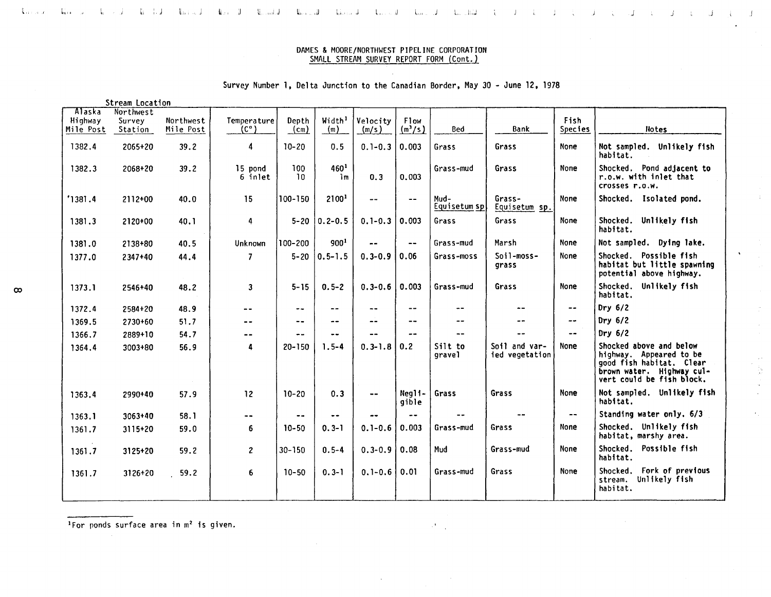#### $\mathbf{Q}_{\mathrm{eff}}$  and  $\mathbf{J}_{\mathrm{eff}}$ the state of the field there is a  $\mathbb{R}$  and  $\mathbb{R}$  is the second of the second term in the second term in the second term in  $\mathbb{R}$  $J = V$  $\mathbf{J} = \mathbf{U}$ Judit Jud  $\mathcal{L}$

### DAMES & MOORE/NORTHWEST PIPELINE CORPORATION SMALL STREAM SURVEY REPORT FORM (Cont.)

- J

 $\frac{1}{\sqrt{2}}$ 

# Survey Number 1, Delta Junction to the Canadian Border, May 30 - June 12, 1978

Stream Location

|                                | <b>SULCOM LUCALION</b>         |                        |                            |               |                                    |                              |                          |                      |                                 |                        |                                                                                                                                          |
|--------------------------------|--------------------------------|------------------------|----------------------------|---------------|------------------------------------|------------------------------|--------------------------|----------------------|---------------------------------|------------------------|------------------------------------------------------------------------------------------------------------------------------------------|
| Alaska<br>Highway<br>Mile Post | Northwest<br>Survey<br>Station | Northwest<br>Mile Post | Temperature<br>(c°)        | Depth<br>(cm) | Width <sup>1</sup><br>(m)          | Velocity<br>(m/s)            | F1ow<br>$\binom{m^3}{s}$ | Bed                  | Bank                            | Fish<br><b>Species</b> | Notes                                                                                                                                    |
| 1382.4                         | 2065+20                        | 39.2                   | 4                          | $10 - 20$     | 0.5                                | $0.1 - 0.3$                  | 0.003                    | Grass                | Grass                           | <b>None</b>            | Not sampled. Unlikely fish<br>habitat.                                                                                                   |
| 1382.3                         | 2068+20                        | 39.2                   | 15 pond<br>6 inlet         | 100<br>10     | 460 <sup>1</sup><br>1 <sub>m</sub> | 0.3                          | 0.003                    | Grass-mud            | Grass                           | None                   | Shocked. Pond adjacent to<br>r.o.w. with inlet that<br>crosses r.o.w.                                                                    |
| '1381.4                        | $2112+00$                      | 40.0                   | 15                         | 100-150       | 21001                              | $- -$                        | $-$                      | Mud-<br>Equisetum sp | Grass-<br>Equisetum sp.         | None                   | Shocked. Isolated pond.                                                                                                                  |
| 1381.3                         | 2120+00                        | 40.1                   | 4                          | $5 - 20$      | $0.2 - 0.5$                        | $0.1 - 0.3$                  | 0.003                    | Grass                | Grass                           | None                   | Shocked. Unlikely fish<br>habitat.                                                                                                       |
| 1381.0                         | 2138+80                        | 40.5                   | Unknown                    | 100-200       | 900 <sup>1</sup>                   |                              | --                       | Grass-mud            | Marsh                           | <b>None</b>            | Not sampled. Dying lake.                                                                                                                 |
| 1377.0                         | 2347+40                        | 44.4                   | $\overline{7}$             | $5 - 20$      | $0.5 - 1.5$                        | $0.3 - 0.9$                  | 0.06                     | Grass-moss           | Soil-moss-<br>grass             | None                   | Shocked. Possible fish<br>habitat but little spawning<br>potential above highway.                                                        |
| 1373.1                         | 2546+40                        | 48.2                   | $\mathbf{3}$               | $5 - 15$      | $0.5 - 2$                          | $0.3 - 0.6$                  | 0.003                    | Grass-mud            | Grass                           | None                   | Shocked. Unlikely fish<br>habitat.                                                                                                       |
| 1372.4                         | 2584+20                        | 48.9                   | --                         | $\sim$ $\sim$ | --                                 | --                           | $\qquad \qquad -$        | $\frac{1}{2}$        |                                 | --                     | Dry $6/2$                                                                                                                                |
| 1369.5                         | 2730+60                        | 51.7                   | $- -$                      | --            | --                                 | --                           | $- -$                    | --                   |                                 | --                     | Dry $6/2$                                                                                                                                |
| 1366.7                         | 2889+10                        | 54.7                   | $- -$                      | --            |                                    |                              |                          |                      |                                 | --                     | Dry $6/2$                                                                                                                                |
| 1364.4                         | $3003 + 80$                    | 56.9                   | 4                          | $20 - 150$    | $1.5 - 4$                          | $0.3 - 1.8$                  | 0.2                      | Silt to<br>gravel    | Soil and var-<br>ied vegetation | None                   | Shocked above and below<br>highway. Appeared to be<br>good fish habitat. Clear<br>brown water. Highway cul-<br>vert could be fish block. |
| 1363.4                         | 2990+40                        | 57.9                   | 12                         | $10 - 20$     | 0.3                                | $\qquad \qquad \blacksquare$ | Neali-<br>qible          | Grass                | Grass                           | None                   | Not sampled. Unlikely fish<br>habitat.                                                                                                   |
| 1363.1                         | $3063+40$                      | 58.1                   | $\overline{\phantom{a}}$ . | $-$           |                                    |                              | --                       |                      |                                 | $\sim$ $\sim$          | Standing water only. 6/3                                                                                                                 |
| 1361.7                         | 3115+20                        | 59.0                   | 6                          | $10 - 50$     | $0.3 - 1$                          | $0.1 - 0.6$                  | 0.003                    | Grass-mud            | Grass                           | None                   | Shocked. Unlikely fish<br>habitat, marshy area.                                                                                          |
| 1361.7                         | 3125+20                        | 59.2                   | $\mathbf{2}$               | $30 - 150$    | $0.5 - 4$                          | $0.3 - 0.9$ 0.08             |                          | Mud                  | Grass-mud                       | None                   | Shocked. Possible fish<br>habitat.                                                                                                       |
| 1361.7                         | $3126 + 20$                    | 59.2                   | 6                          | $10 - 50$     | $0.3 - 1$                          | $0.1 - 0.6$                  | 0.01                     | Grass-mud            | Grass                           | None                   | Shocked. Fork of previous<br>stream. Unlikely fish<br>habitat.                                                                           |

 $1$ For ponds surface area in  $m<sup>2</sup>$  is given.

 $\mathcal{A}=\mathcal{A}$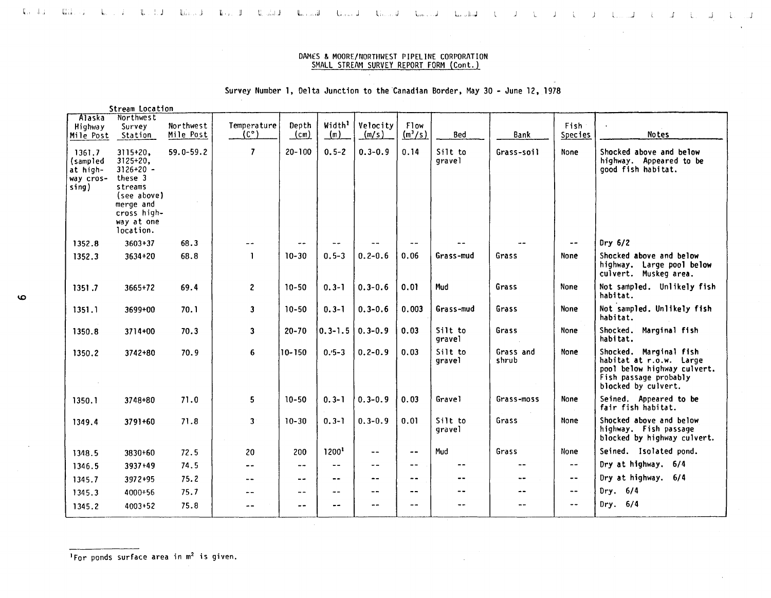#### لمعامل المكتبة المعامل المعامل المعامل الأنسان المستقل المستقل المستقل المستقل المستقلة المعامل المعامل التي ا  $\sim$  1.  $\overline{J}$

# DAM£S & MOORE/NORTflWEST PIPELINE CORPORATION SMALL STREAM SURVEY REPORT FORM (Cont.)

# Survey Number 1, Delta Junction to the Canadian Border. May 30 - June 12, 1978

|                                                      | Stream Location                                                                                                                     |                         |                              |                                        |                                    |                   |                   |                            |                    |                            |                                                                                                                                  |
|------------------------------------------------------|-------------------------------------------------------------------------------------------------------------------------------------|-------------------------|------------------------------|----------------------------------------|------------------------------------|-------------------|-------------------|----------------------------|--------------------|----------------------------|----------------------------------------------------------------------------------------------------------------------------------|
| Alaska<br>Highway<br>Mile Post                       | Northwest<br>Survey<br>Station                                                                                                      | Northwest<br>Mile Post  | Temperature<br>$(C^{\circ})$ | Depth<br>$\frac{\text{(cm)}}{\text{}}$ | Width <sup>1</sup><br>$\mathbf{m}$ | Velocity<br>(m/s) | Flow<br>$(m^3/s)$ | Bed                        | Bank               | Fish<br>Species            | <b>Notes</b>                                                                                                                     |
| 1361.7<br>(sampled<br>at high-<br>way cros-<br>sing) | $3115+20.$<br>$3125+20,$<br>$3126+20 -$<br>these 3<br>streams<br>(see above)<br>merge and<br>cross high-<br>way at one<br>location. | $59.0 - 59.2$<br>$\sim$ | $\overline{7}$               | $20 - 100$                             | $0.5 - 2$                          | $0.3 - 0.9$       | 0.14              | Silt to<br>gravel          | Grass-soil         | None                       | Shocked above and below<br>highway. Appeared to be<br>good fish habitat.                                                         |
| 1352.8                                               | $3603 + 37$                                                                                                                         | 68.3                    | $- -$                        | --                                     |                                    |                   | $-1$              |                            |                    | $\overline{\phantom{a}}$   | Dry $6/2$                                                                                                                        |
| 1352.3                                               | $3634 + 20$                                                                                                                         | 68.8                    | $\mathbf{1}$                 | $10 - 30$                              | $0.5 - 3$                          | $0.2 - 0.6$       | 0.06              | Grass-mud                  | Grass              | <b>None</b>                | Shocked above and below<br>highway. Large pool below<br>culvert. Muskeg area.                                                    |
| 1351.7                                               | 3665+72                                                                                                                             | 69.4                    | $\mathbf{2}$                 | $10 - 50$                              | $0.3 - 1$                          | $0.3 - 0.6$       | 0.01              | Mud                        | Grass              | <b>None</b>                | Not sampled. Unlikely fish<br>habitat.                                                                                           |
| 1351.1                                               | 3699+00                                                                                                                             | 70.1                    | 3 <sup>1</sup>               | $10 - 50$                              | $0.3 - 1$                          | $0.3 - 0.6$       | 0.003             | Grass-mud                  | Grass              | <b>None</b>                | Not sampled. Unlikely fish<br>habitat.                                                                                           |
| 1350.8                                               | 3714+00                                                                                                                             | 70.3                    | $\overline{\mathbf{3}}$      | $20 - 70$                              | $\vert 0.3$ -1.5 $\vert 0.3$ -0.9  |                   | 0.03              | Silt to<br>gravel          | Grass              | <b>None</b>                | Shocked. Marginal fish<br>habitat.                                                                                               |
| 1350.2                                               | 3742+80                                                                                                                             | 70.9                    | 6                            | 10-150                                 | $0.5 - 3$                          | $0.2 - 0.9$       | 0.03              | Silt to<br>qravel          | Grass and<br>shrub | None                       | Shocked. Marginal fish<br>habitat at r.o.w. Large<br>pool below highway culvert.<br>Fish passage probably<br>blocked by culvert. |
| 1350.1                                               | 3748+80                                                                                                                             | 71.0                    | 5                            | $10 - 50$                              | $0.3 - 1$                          | $0.3 - 0.9$       | 0.03              | Gravel                     | Grass-moss         | <b>None</b>                | Seined. Appeared to be<br>fair fish habitat.                                                                                     |
| 1349.4                                               | 3791+60                                                                                                                             | 71.8                    | 3 <sup>1</sup>               | $10 - 30$                              | $0.3 - 1$                          | $0.3 - 0.9$       | 0.01              | Silt to<br>qravel          | Grass              | None                       | Shocked above and below<br>highway. Fish passage<br>blocked by highway culvert.                                                  |
| 1348.5                                               | 3830+60                                                                                                                             | 72.5                    | 20                           | 200                                    | 12001                              | --                | $\frac{1}{2}$     | Mud                        | Grass              | None                       | Seined. Isolated pond.                                                                                                           |
| 1346.5                                               | 3937+49                                                                                                                             | 74.5                    | $- -$                        | $- -$                                  | $- -$                              | $-$               | --                | $\sim$ $\sim$              |                    | $\overline{\phantom{a}}$   | Dry at highway. 6/4                                                                                                              |
| 1345.7                                               | 3972+95                                                                                                                             | 75.2                    | $- -$                        | $\sim$ $\sim$                          | $- -$                              | $-$               | $- -$             | $\overline{\phantom{m}}$ . | $- -$              | $\sim$ $-$                 | Dry at highway. 6/4                                                                                                              |
| 1345.3                                               | 4000+56                                                                                                                             | 75.7                    | --                           | $\rightarrow$ $\rightarrow$            | $- -$                              | $-$               | --                | $- -$                      |                    | $\overline{\phantom{a}}$ . | Dry. $6/4$                                                                                                                       |
| 1345.2                                               | 4003+52                                                                                                                             | 75.8                    |                              | $\sim$ $-$                             | $\sim$ $-$                         | --                | $- -$             |                            |                    | $\frac{1}{2}$              | Dry. $6/4$                                                                                                                       |
|                                                      |                                                                                                                                     |                         |                              |                                        |                                    |                   |                   |                            |                    |                            |                                                                                                                                  |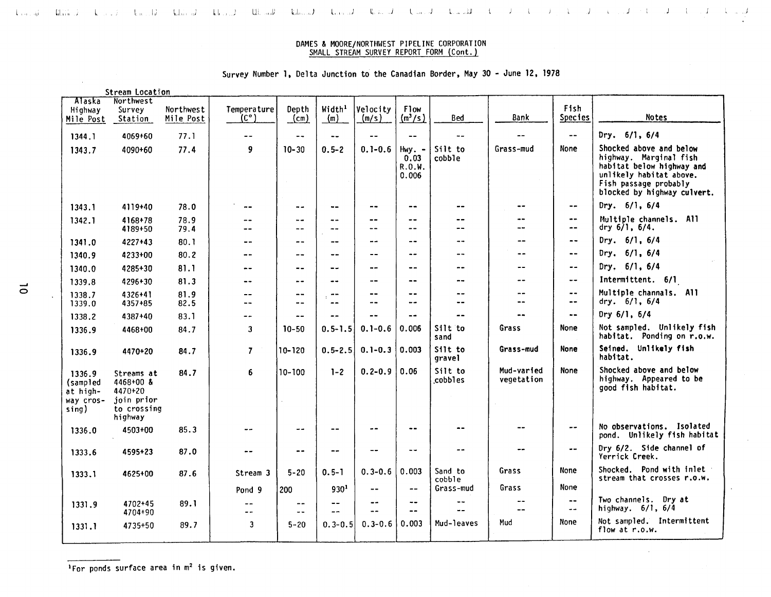# Survey Number 1. Delta Junction to the Canadian Border. May 30 - June 12. 1978

|                                                      | Stream Location                                                              |              |                          |                |                    |             |                                      |                    |                          |                                                 |                                                                                                                                                                   |
|------------------------------------------------------|------------------------------------------------------------------------------|--------------|--------------------------|----------------|--------------------|-------------|--------------------------------------|--------------------|--------------------------|-------------------------------------------------|-------------------------------------------------------------------------------------------------------------------------------------------------------------------|
| Alaska                                               | Northwest                                                                    |              |                          |                |                    |             |                                      |                    |                          |                                                 |                                                                                                                                                                   |
| Highway                                              | Survey                                                                       | Northwest    | Temperature              | Depth          | Width <sup>1</sup> | Velocity    | <b>Flow</b>                          |                    |                          | Fish                                            |                                                                                                                                                                   |
| Mile Post                                            | Station                                                                      | Mile Post    | (c°)                     | (m)            | (m)                | (m/s)       | $(m^3/s)$                            | <b>Bed</b>         | Bank                     | Species                                         | <b>Notes</b>                                                                                                                                                      |
| 1344.1                                               | 4069+60                                                                      | 77.1         | --                       | $-1$           | $\frac{1}{2}$      | $-$         | $\frac{1}{2}$                        | $-1$               | $-1$                     | $\ldots$                                        | Dry. $6/1, 6/4$                                                                                                                                                   |
| 1343.7                                               | 4090+60                                                                      | 77.4         | 9                        | $10 - 30$      | $0.5 - 2$          | $0.1 - 0.6$ | $Hwy = -$<br>0.03<br>R.O.W.<br>0.006 | Silt to<br>cobble  | Grass-mud                | None                                            | Shocked above and below<br>highway. Marginal fish<br>habitat below highway and<br>unlikely habitat above.<br>Fish passage probably<br>blocked by highway culvert. |
| 1343.1                                               | 4119+40                                                                      | 78.0         | $\overline{\phantom{m}}$ | $\sim$ $-$     | $\ddotsc$          | $\cdots$    | $\blacksquare$ .                     | --                 | $\bullet$                | $\overline{\phantom{a}}$                        | Dry. $6/1, 6/4$                                                                                                                                                   |
| 1342.1                                               | 4168+78<br>4189+50                                                           | 78.9<br>79.4 | --<br>$ -$               | $- -$<br>$- -$ | --<br>--           | $ -$<br>--  | --<br>--                             | $-$<br>--          | <br>--                   | $\rightarrow$ $\rightarrow$<br>$- -$            | Multiple channels. All<br>dry 6/1, 6/4.                                                                                                                           |
| 1341.0                                               | 4227+43                                                                      | 80.1         | --                       | $- -$          | --                 |             | $\ddot{\phantom{a}}$                 | --                 | --                       | $\sim$ $\sim$                                   | Dry. $6/1$ , $6/4$                                                                                                                                                |
| 1340.9                                               | 4233+00                                                                      | 80.2         | $-$                      | $- -$          | $ -$               | $-$         |                                      | --                 | --                       | $\frac{1}{2}$                                   | Dry. $6/1$ , $6/4$                                                                                                                                                |
| 1340.0                                               | 4285+30                                                                      | 81.1         | $\sim$ $-$               | $- -$          | --                 | $-$         | --                                   | --                 | $- -$                    | $\overline{\phantom{m}}$                        | Dry. $6/1$ , $6/4$                                                                                                                                                |
| 1339.8                                               | 4296+30                                                                      | 81.3         | $-1$                     | --             | --                 | --          | $- -$                                | --                 | $- -$                    | $\frac{1}{2}$                                   | Intermittent. 6/1                                                                                                                                                 |
| 1338.7                                               | 4326+41                                                                      | 81.9         | $- -$                    | $- -$          | --                 | $-$         | $ -$                                 | $- -$              | --<br>$-$                | $\overline{\phantom{a}}$ .                      | Multiple channals. All                                                                                                                                            |
| 1339.0                                               | 4357+85                                                                      | 82.5         | $-1$                     | $-1$           | --                 | --          | --                                   | --                 |                          | $\qquad \qquad -$                               | dry. $6/1$ , $6/4$                                                                                                                                                |
| 1338.2                                               | 4387+40                                                                      | 83.1         | --                       | $\frac{1}{2}$  | ۰-                 |             | $-1$                                 | --                 | --                       | $\sim$ $\sim$                                   | Dry 6/1, 6/4                                                                                                                                                      |
| 1336.9                                               | 4468+00                                                                      | 84.7         | $\mathbf{3}$             | $10 - 50$      | $0.5 - 1.5$        | $0.1 - 0.6$ | 0.006                                | Silt to<br>sand    | Grass                    | None                                            | Not sampled. Unlikely fish<br>habitat. Ponding on r.o.w.                                                                                                          |
| 1336.9                                               | 4470+20                                                                      | 84.7         | $\overline{7}$           | 10-120         | $0.5 - 2.5$        | $0.1 - 0.3$ | 0.003                                | Silt to<br>gravel  | Grass-mud                | None                                            | Seined. Unlikely fish<br>habitat.                                                                                                                                 |
| 1336.9<br>(sampled<br>at high-<br>way cros-<br>sing) | Streams at<br>$4468+00$ &<br>4470+20<br>join prior<br>to crossing<br>highway | 84.7         | 6                        | $10 - 100$     | $1 - 2$            | $0.2 - 0.9$ | 0.06                                 | Silt to<br>cobbles | Mud-varied<br>vegetation | None                                            | Shocked above and below<br>highway. Appeared to be<br>good fish habitat.                                                                                          |
| 1336.0                                               | 4503+00                                                                      | 85.3         | $\blacksquare$           | $- -$          | $ -$               | --          | $\bullet$                            | --                 |                          | $\rightarrow$ $\rightarrow$                     | No observations. Isolated<br>pond. Unlikely fish habitat                                                                                                          |
| 1333.6                                               | 4595+23                                                                      | 87.0         | --                       | $ -$           | --                 | --          | $\sim$                               | --                 | --                       | $\sim$ $-$                                      | Dry 6/2. Side channel of<br>Yerrick Creek.                                                                                                                        |
| 1333.1                                               | 4625+00                                                                      | 87.6         | Stream 3                 | $5 - 20$       | $0.5 - 1$          | $0.3 - 0.6$ | 0.003                                | Sand to<br>cobble  | Grass                    | None                                            | Shocked. Pond with inlet<br>stream that crosses r.o.w.                                                                                                            |
|                                                      |                                                                              |              | Pond 9                   | 200            | 930 <sup>1</sup>   | --          | $\frac{1}{2}$                        | Grass-mud          | Grass                    | <b>None</b>                                     |                                                                                                                                                                   |
| 1331.9                                               | 4702+45<br>4704+90                                                           | 89.1         | $\qquad \qquad -$<br>$-$ | --<br>--       | $\sim$ $-$<br>--   | --<br>--    | $\frac{1}{2}$<br>$\frac{1}{2}$       | $- -$<br>--        |                          | $\bullet\bullet$<br>$\rightarrow$ $\rightarrow$ | Two channels. Dry at<br>highway. 6/1, 6/4                                                                                                                         |
| 1331.1                                               | 4735+50                                                                      | 89.7         | $\overline{\mathbf{3}}$  | $5 - 20$       | $0.3 - 0.5$        | $0.3 - 0.6$ | 0.003                                | Mud-leaves         | Mud                      | None                                            | Not sampled. Intermittent<br>flow at r.o.w.                                                                                                                       |
|                                                      |                                                                              |              |                          |                |                    |             |                                      |                    |                          |                                                 |                                                                                                                                                                   |

 $1$ For ponds surface area in  $m<sup>2</sup>$  is given.

 $\sim$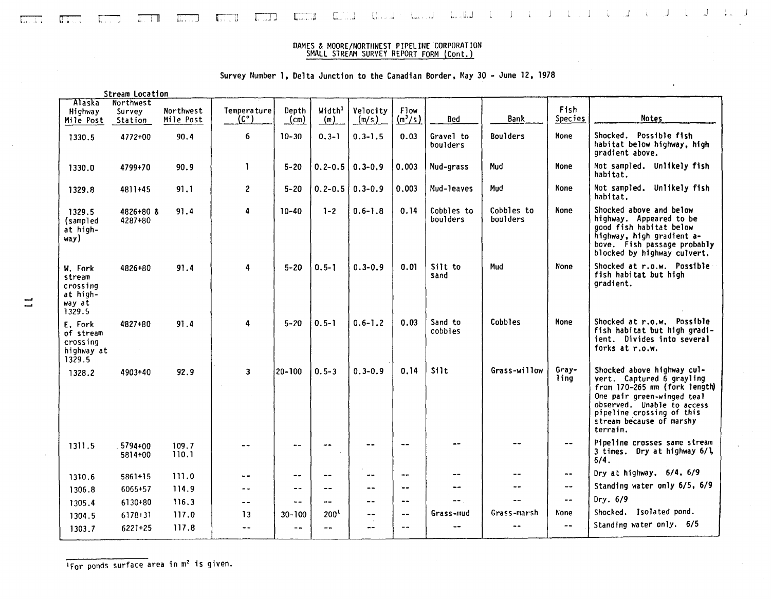

 $J$  .  $J$  .  $J$  .  $J$ 

l.

c-r-: respect to respect the correlation of the correlation of the correlation of the correlation of the correla

# Survey Number I, Delta Junction to the Canadian Border, May 30 - June 12, 1978

|                                                               | <b>Stream Location</b>         |                        |                              |               |                           |                   |                          |                        |                        |                  |                                                                                                                                                                                                                           |
|---------------------------------------------------------------|--------------------------------|------------------------|------------------------------|---------------|---------------------------|-------------------|--------------------------|------------------------|------------------------|------------------|---------------------------------------------------------------------------------------------------------------------------------------------------------------------------------------------------------------------------|
| Alaska<br>Highway<br>Mile Post                                | Northwest<br>Survey<br>Station | Northwest<br>Mile Post | Temperature<br>$(C^{\circ})$ | Depth<br>(cm) | Width <sup>1</sup><br>(m) | Velocity<br>(m/s) | Flow<br>$(m^3/s)$        | Bed                    | <b>Bank</b>            | Fish<br>Species  | <b>Notes</b>                                                                                                                                                                                                              |
| 1330.5                                                        | 4772+00                        | 90.4                   | 6                            | $10 - 30$     | $0.3 - 1$                 | $0.3 - 1.5$       | 0.03                     | Gravel to<br>boulders  | <b>Boulders</b>        | <b>None</b>      | Shocked. Possible fish<br>habitat below highway, high<br>gradient above.                                                                                                                                                  |
| 1330.0                                                        | 4799+70                        | 90.9                   | $\mathbf{1}$                 | $5 - 20$      | $0.2 - 0.5$               | $0.3 - 0.9$       | 0.003                    | Mud-grass              | Mud                    | None             | Not sampled. Unlikely fish<br>habitat.                                                                                                                                                                                    |
| 1329.8                                                        | 4811+45                        | 91.1                   | $\mathbf{2}$                 | $5 - 20$      | $0.2 - 0.5$               | $0.3 - 0.9$       | 0.003                    | Mud-leaves             | Mud                    | None             | Not sampled. Unlikely fish<br>habitat.                                                                                                                                                                                    |
| 1329.5<br>(sampled<br>at high-<br>way)                        | 4826+80 &<br>4287+80           | 91.4                   | 4                            | $10 - 40$     | $1 - 2$                   | $0.6 - 1.8$       | 0.14                     | Cobbles to<br>boulders | Cobbles to<br>boulders | None             | Shocked above and below<br>highway. Appeared to be<br>good fish habitat below<br>highway, high gradient a-<br>bove. Fish passage probably<br>blocked by highway culvert.                                                  |
| W. Fork<br>stream<br>crossing<br>at high-<br>way at<br>1329.5 | 4826+80                        | 91.4                   | 4                            | $5 - 20$      | $0.5 - 1$                 | $0.3 - 0.9$       | 0.01                     | Silt to<br>sand        | Mud                    | None             | Shocked at r.o.w. Possible<br>fish habitat but high<br>gradient.                                                                                                                                                          |
| E. Fork<br>of stream<br>crossing<br>highway at<br>1329.5      | 4827+80                        | 91.4                   | 4                            | $5 - 20$      | $0.5 - 1$                 | $0.6 - 1.2$       | 0.03                     | Sand to<br>cobbles     | Cobbles                | None             | Shocked at r.o.w. Possible<br>fish habitat but high gradi-<br>ient. Divides into several<br>forks at r.o.w.                                                                                                               |
| 1328.2                                                        | 4903+40                        | 92.9                   | $\overline{\mathbf{3}}$      | 20-100        | $0.5 - 3$                 | $0.3 - 0.9$       | 0.14                     | Silt                   | Grass-willow           | Gray-<br>lina    | Shocked above highway cul-<br>vert. Captured 6 grayling<br>from 170-265 nm (fork length)<br>One pair green-winged teal<br>observed. Unable to access<br>pipeline crossing of this<br>stream because of marshy<br>terrain. |
| 1311.5                                                        | 5794+00<br>5814+00             | 109.7<br>110.1         | $- -$                        | $\frac{1}{2}$ | --                        |                   | $\sim$ $\sim$            | $- -$                  |                        | $- -$            | Pipeline crosses same stream<br>3 times. Dry at highway 6/1,<br>6/4.                                                                                                                                                      |
| 1310.6                                                        | 5861+15                        | 111.0                  | $- -$                        | $-$           | --                        |                   | $\rightarrow$            | $- -$                  | $- -$                  | $\bullet\bullet$ | Dry at highway. 6/4, 6/9                                                                                                                                                                                                  |
| 1306.8                                                        | 6065+57                        | 114.9                  | --                           | $-$           | $- -$                     | --                | $\overline{\phantom{a}}$ | $- -$                  | $- -$                  | $-$              | Standing water only 6/5, 6/9                                                                                                                                                                                              |
| 1305.4                                                        | 6130+80                        | 116.3                  | $- -$                        | $\sim$ $-$    | $-1$                      | $- -$             | $\qquad \qquad -$        | $\overline{a}$         |                        | $- -$            | Dry. $6/9$                                                                                                                                                                                                                |
| 1304.5                                                        | $6178+31$                      | 117.0                  | 13                           | $30 - 100$    | 200 <sup>1</sup>          | $\sim$ $-$        | $- -$                    | Grass-mud              | Grass-marsh            | None             | Shocked. Isolated pond.                                                                                                                                                                                                   |
| 1303.7                                                        | 6221+25                        | 117.8                  | $-$                          | $ -$          | --                        |                   | $ -$                     | --                     | $\sim$ $\sim$          | $- -$            | Standing water only. 6/5                                                                                                                                                                                                  |

....

IFor ponds surface area in m<sup>2</sup> is given.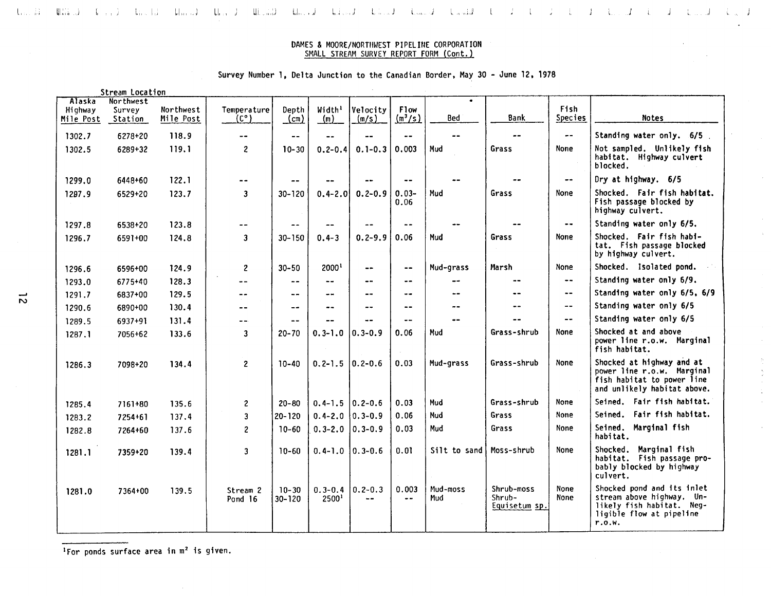$I = \begin{bmatrix} 1 & 1 \end{bmatrix}$ 

 $\mathcal{I} = \mathbb{C}$ 

 $\langle \mathbf{J} \rangle = \langle \mathbf{I} \rangle \langle \mathbf{I} \rangle \langle \mathbf{J} \rangle$ 

ik a

ل, إن الناس، التي تأتي المسلم العام التي التي المسلم التي المسلم المسلم المسلم المسلم التي يقدم التي التي التي

# Survey Number 1, Delta Junction to the Canadian Border, May 30 - June 12, 1978

|                                       | Stream Location                |                        |                              |                        |                                          |                   |                          |                 |                                       |                          |                                                                                                                            |
|---------------------------------------|--------------------------------|------------------------|------------------------------|------------------------|------------------------------------------|-------------------|--------------------------|-----------------|---------------------------------------|--------------------------|----------------------------------------------------------------------------------------------------------------------------|
| <b>Alaska</b><br>Highway<br>Mile Post | Northwest<br>Survey<br>Station | Northwest<br>Mile Post | Temperature<br>$(C^{\circ})$ | Depth<br>$\text{cm}$ ) | Width <sup>1</sup><br>(m)                | Velocitv<br>(m/s) | <b>Flow</b><br>$(m^3/s)$ | Bed             | <b>Bank</b>                           | Fish<br><b>Species</b>   | <b>Notes</b>                                                                                                               |
| 1302.7                                | 6278+20                        | 118.9                  | $\overline{\phantom{a}}$     | $- -$                  |                                          | $-1$              | $\sim$ $-$               | $- -$           | $- -$                                 | $\overline{\phantom{a}}$ | Standing water only. 6/5                                                                                                   |
| 1302.5                                | $6289 + 32$                    | 119.1                  | $\overline{c}$               | $10 - 30$              | $0.2 - 0.4$                              | $0.1 - 0.3$       | 0.003                    | Mud             | Grass                                 | None                     | Not sampled. Unlikely fish<br>habitat. Highway culvert<br>blocked.                                                         |
| 1299.0                                | 6448+60                        | 122.1                  | $- -$                        | $-$                    |                                          |                   | $-$                      |                 |                                       | $-\cdot$                 | Dry at highway. 6/5                                                                                                        |
| 1297.9                                | 6529+20                        | 123.7                  | $\mathbf{3}$                 | $30 - 120$             | $0.4 - 2.0$                              | $0.2 - 0.9$       | $0.03 -$<br>0.06         | Mud             | Grass                                 | None                     | Shocked. Fair fish habitat.<br>Fish passage blocked by<br>highway culvert.                                                 |
| 1297.8                                | 6538+20                        | 123.8                  | $\qquad \qquad -$            | $\sim$ $\sim$          | $ -$                                     |                   | $\blacksquare$           |                 |                                       | $\sim$ $\sim$            | Standing water only 6/5.                                                                                                   |
| 1296.7                                | 6591+00                        | 124.8                  | $\mathbf{3}$                 | $30 - 150$             | $0.4 - 3$                                | $0.2 - 9.9$       | 0.06                     | Mud             | Grass                                 | <b>None</b>              | Shocked. Fair fish habi-<br>tat. Fish passage blocked<br>by highway culvert.                                               |
| 1296.6                                | 6596+00                        | 124.9                  | $2^{\circ}$                  | $30 - 50$              | 2000 <sup>1</sup>                        | $- -$             | $\overline{\phantom{a}}$ | Mud-grass       | Marsh                                 | None                     | Shocked. Isolated pond.                                                                                                    |
| 1293.0                                | 6775+40                        | 128.3                  | $\ddotsc$                    | $\frac{1}{2}$          |                                          | --                | $\bullet$                |                 |                                       | $\blacksquare$           | Standing water only 6/9.                                                                                                   |
| 1291.7                                | 6837+00                        | 129.5                  | --                           | $- -$                  | $\blacksquare$                           | --                | $\sim$ $\sim$            | --              | --                                    | $\sim$ $-$               | Standing water only 6/5, 6/9                                                                                               |
| 1290.6                                | 6890+00                        | 130.4                  | --                           | $-$                    |                                          |                   | $-$                      |                 |                                       | $\blacksquare$           | Standing water only 6/5                                                                                                    |
| 1289.5                                | 6937+91                        | 131.4                  | --                           | $- -$                  |                                          |                   | $-$                      |                 |                                       | $- -$                    | Standing water only 6/5                                                                                                    |
| 1287.1                                | 7056+62                        | 133.6                  | 3                            | $20 - 70$              | $0.3 - 1.0$                              | $ 0.3 - 0.9$      | 0.06                     | Mud             | Grass-shrub                           | None                     | Shocked at and above<br>power line r.o.w. Marginal<br>fish habitat.                                                        |
| 1286.3                                | 7098+20                        | 134.4                  | $2^{\circ}$                  | $10 - 40$              | $0.2 - 1.5$ 0.2-0.6                      |                   | 0.03                     | Mud-grass       | Grass-shrub                           | None                     | Shocked at highway and at<br>power line r.o.w. Marginal<br>fish habitat to power line<br>and unlikely habitat above.       |
| 1285.4                                | 7161+80                        | 135.6                  | $\mathbf{2}$                 | $20 - 80$              | $0.4 - 1.5$ 0.2-0.6                      |                   | 0.03                     | Mud             | Grass-shrub                           | None                     | Seined. Fair fish habitat.                                                                                                 |
| 1283.2                                | 7254+61                        | 137.4                  | 3                            | 20-120                 | $0.4 - 2.0$ 0.3-0.9                      |                   | 0.06                     | Mud             | Grass                                 | None                     | Seined. Fair fish habitat.                                                                                                 |
| 1282.8                                | 7264+60                        | 137.6                  | $\mathbf{2}$                 | $10 - 60$              | $0.3 - 2.0$ 0.3 - 0.9                    |                   | 0.03                     | Mud             | Grass                                 | None                     | Seined. Marginal fish<br>habitat.                                                                                          |
| 1281.1                                | 7359+20                        | 139.4                  | 3                            | $10 - 60$              | $0.4 - 1.0$ 0.3-0.6                      |                   | 0.01                     | Silt to sand    | Moss-shrub                            | None                     | Shocked. Marginal fish<br>habitat. Fish passage pro-<br>bably blocked by highway<br>culvert.                               |
| 1281.0                                | 7364+00                        | 139.5                  | Stream 2<br>Pond 16          | $10 - 30$<br>30-120    | $0.3 - 0.4$ 0.2-0.3<br>2500 <sup>1</sup> |                   | 0.003<br>$-$             | Mud-moss<br>Mud | Shrub-moss<br>Shrub-<br>Equisetum sp. | None<br>None             | Shocked pond and its inlet<br>stream above highway. Un-<br>likely fish habitat. Neg-<br>ligible flow at pipeline<br>r.0.W. |

<sup>1</sup>For ponds surface area in m<sup>2</sup> is given.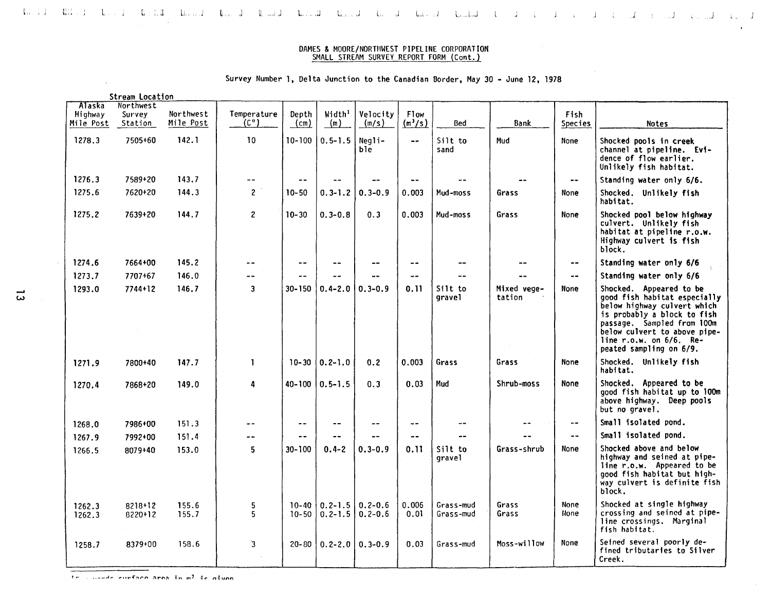### Survey Number 1, Delta Junction to the Canadian Border, May 30 - June 12, 1978

|                                | Stream Location                |                        |                                  |               |                                      |                            |                          |                        |                       |                          |                                                                                                                                                                                                                                                |
|--------------------------------|--------------------------------|------------------------|----------------------------------|---------------|--------------------------------------|----------------------------|--------------------------|------------------------|-----------------------|--------------------------|------------------------------------------------------------------------------------------------------------------------------------------------------------------------------------------------------------------------------------------------|
| Alaska<br>Highway<br>Mile Post | Northwest<br>Survey<br>Station | Northwest<br>Mile Post | Temperature<br>(C <sup>o</sup> ) | Depth<br>(cm) | Width <sup>1</sup><br>$\binom{m}{m}$ | Velocity<br>(m/s)          | <b>Flow</b><br>$(m^3/s)$ | <b>Bed</b>             | <b>Bank</b>           | Fish<br>Species          | <b>Notes</b>                                                                                                                                                                                                                                   |
| 1278.3                         | 7505+60                        | 142.1                  | 10                               | 10-100 l      | $0.5 - 1.5$                          | Negli-<br>ble              | $\overline{\phantom{a}}$ | Silt to<br>sand        | Mud                   | None                     | Shocked pools in creek<br>channel at pipeline. Evi-<br>dence of flow earlier.<br>Unlikely fish habitat.                                                                                                                                        |
| 1276.3                         | 7589+20                        | 143.7                  | $\overline{\phantom{a}}$         | $-$           |                                      |                            | $\blacksquare$           |                        |                       | $\bullet$ $\bullet$      | Standing water only 6/6.                                                                                                                                                                                                                       |
| 1275.6                         | 7620+20                        | 144.3                  | $\overline{c}$                   | $10 - 50$     | $0.3 - 1.2$                          | $0.3 - 0.9$                | 0.003                    | Mud-moss               | Grass                 | None                     | Shocked. Unlikely fish<br>habitat.                                                                                                                                                                                                             |
| 1275.2                         | 7639+20                        | 144.7                  | $\overline{c}$                   | $10 - 30$     | $0.3 - 0.8$                          | 0.3                        | 0.003                    | Mud-moss               | Grass                 | None                     | Shocked pool below highway<br>culvert. Unlikely fish<br>habitat at pipeline r.o.w.<br>Highway culvert is fish<br>block.                                                                                                                        |
| 1274.6                         | 7664+00                        | 145.2                  |                                  | --            | --                                   | --                         | $\sim$ $\sim$            | --                     |                       | $\bullet\bullet$         | Standing water only 6/6                                                                                                                                                                                                                        |
| 1273.7                         | 7707+67                        | 146.0                  |                                  |               |                                      |                            | $- -$                    |                        |                       | $\sim$ $\sim$            | Standing water only 6/6                                                                                                                                                                                                                        |
| 1293.0                         | $7744 + 12$                    | 146.7                  | 3                                | $30 - 150$    | $0.4 - 2.0$                          | $0.3 - 0.9$                | 0.11                     | Silt to<br>gravel      | Mixed vege-<br>tation | None                     | Shocked. Appeared to be<br>good fish habitat especially<br>below highway culvert which<br>is probably a block to fish<br>passage. Sampled from 100m<br>below culvert to above pipe-<br>line $r.o.w.$ on $6/6$ . Re-<br>peated sampling on 6/9. |
| 1271.9                         | 7800+40                        | 147.7                  | $\mathbf{1}$                     | $10 - 30$     | $0.2 - 1.0$                          | 0.2                        | 0.003                    | Grass                  | Grass                 | None                     | Shocked. Unlikely fish<br>habitat.                                                                                                                                                                                                             |
| 1270.4                         | 7868+20                        | 149.0                  | 4                                | $40 - 100$    | $0.5 - 1.5$                          | 0.3                        | 0.03                     | Mud                    | Shrub-moss            | <b>None</b>              | Shocked. Appeared to be<br>good fish habitat up to 100m<br>above highway. Deep pools<br>but no gravel.                                                                                                                                         |
| 1268.0                         | 7986+00                        | 151.3                  | --                               | --            |                                      | --                         | $- -$                    | $\sim$ $\sim$          |                       | $\overline{\phantom{a}}$ | Small isolated pond.                                                                                                                                                                                                                           |
| 1267.9                         | 7992+00                        | 151.4                  | --                               | --            | $-1$                                 |                            | $- -$                    | $-$                    |                       | $\bullet$                | Small isolated pond.                                                                                                                                                                                                                           |
| 1266.5                         | 8079+40                        | 153.0                  | 5                                | 30-100        | $0.4 - 2$                            | $0.3 - 0.9$                | 0.11                     | Silt to<br>grave1      | Grass-shrub           | None                     | Shocked above and below<br>highway and seined at pipe-<br>line r.o.w. Appeared to be<br>good fish habitat but high-<br>way culvert is definite fish<br>block.                                                                                  |
| 1262.3<br>1262.3               | 8218+12<br>8220+12             | 155.6<br>155.7         | 5<br>5.                          | $10 - 50$     | $10-40$   0.2-1.5<br>$0.2 - 1.5$     | $0.2 - 0.6$<br>$0.2 - 0.6$ | 0.006<br>0.01            | Grass-mud<br>Grass-mud | Grass<br>Grass        | None<br>None             | Shocked at single highway<br>crossing and seined at pipe-<br>line crossings. Marginal<br>fish habitat.                                                                                                                                         |
| 1258.7                         | 8379+00                        | 158.6                  | $\overline{\mathbf{3}}$          |               | $20 - 80$   0.2-2.0   0.3-0.9        |                            | 0.03                     | Grass-mud              | Moss-willow           | None                     | Seined several poorly de-<br>fined tributaries to Silver<br>Creek.                                                                                                                                                                             |

\_<br>ω

 $\sim$ 

,... . ............... **,,"rf':'lr""n :'1....."":"1** ~" **m'** ~('" **ni""n**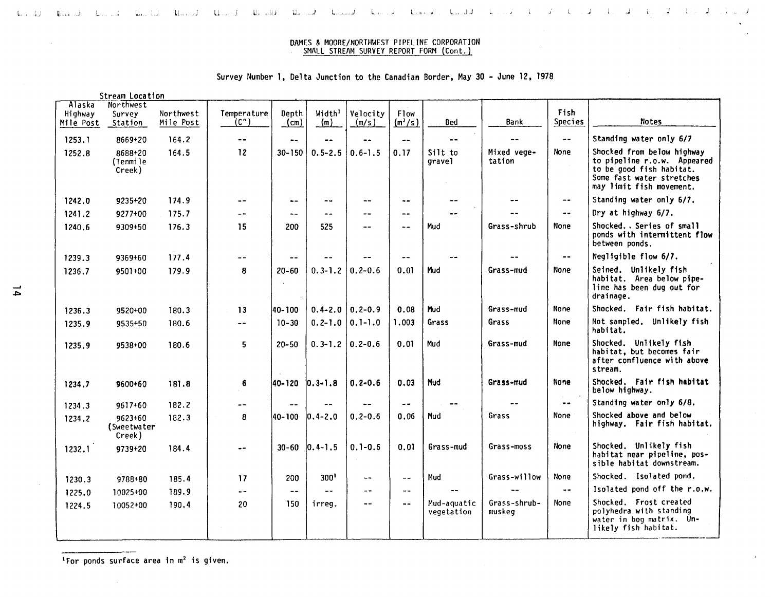لابتداء الأستراب الجاريا الجاريا في المستراب المستراب المستراب المستطرب المستطرب المستراب المستراب المستراب المستط<br>المستراب المستراب الجاري المستراب المستراب المستراب المستراب المستطرب المستطرب المستراب المستراب المستطرب

# Survey Number I, Delta Junction to the Canadian Border, May 30 - June 12, 1978

|           | Stream Location                  |           |                              |                      |                     |                |                             |                           |                        |                             |                                                                                                                                                |
|-----------|----------------------------------|-----------|------------------------------|----------------------|---------------------|----------------|-----------------------------|---------------------------|------------------------|-----------------------------|------------------------------------------------------------------------------------------------------------------------------------------------|
| Alaska    | Northwest                        |           |                              |                      |                     |                |                             |                           |                        |                             |                                                                                                                                                |
| Highway   | Survey                           | Northwest | Temperature<br>$(C^{\circ})$ | Depth                | Width <sup>1</sup>  | Velocity       | <b>F1ow</b>                 | Bed                       | Bank                   | Fish<br><b>Species</b>      | Notes                                                                                                                                          |
| Mile Post | Station                          | Mile Post |                              | $\frac{\text{cm}}{}$ | (m)                 | (m/s)          | $(m^3/s)$                   |                           |                        |                             |                                                                                                                                                |
| 1253.1    | 8669+20                          | 164.2     | $\frac{1}{2}$                | $- -$                | --                  |                | $-1$                        |                           |                        | $\sim$ $\sim$               | Standing water only 6/7                                                                                                                        |
| 1252.8    | 8688+20<br>(Tenmile<br>Creek)    | 164.5     | 12                           | $30 - 150$           | $0.5 - 2.5$         | $0.6 - 1.5$    | 0.17                        | Silt to<br>gravel         | Mixed vege-<br>tation  | None                        | Shocked from below highway<br>to pipeline r.o.w. Appeared<br>to be good fish habitat.<br>Some fast water stretches<br>may limit fish movement. |
| 1242.0    | 9235+20                          | 174.9     | $\omega$ $\rightarrow$       | $\ddotsc$            | $- -$               |                | $\overline{\phantom{a}}$    |                           |                        | $-\,$ $\,$                  | Standing water only 6/7.                                                                                                                       |
| 1241.2    | 9277+00                          | 175.7     | $ -$                         | ∸-                   |                     | --             | $\overline{\phantom{m}}$ .  |                           |                        | $\sim$ $-$                  | Dry at highway 6/7.                                                                                                                            |
| 1240.6    | 9309+50                          | 176.3     | 15                           | 200                  | 525                 | $-1$           | --                          | Mud                       | Grass-shrub            | None                        | Shocked Series of small<br>ponds with intermittent flow<br>between ponds.                                                                      |
| 1239.3    | 9369+60                          | 177.4     | $-$                          | --                   |                     |                | $- -$                       |                           |                        | $- -$                       | Negligible flow 6/7.                                                                                                                           |
| 1236.7    | 9501+00                          | 179.9     | 8                            | $20 - 60$            | $0.3 - 1.2$         | $0.2 - 0.6$    | 0.01                        | Mud                       | Grass-mud              | None                        | Seined. Unlikely fish<br>habitat. Area below pipe-<br>line has been dug out for<br>drainage.                                                   |
| 1236.3    | 9520+00                          | 180.3     | 13                           | 40-100               | $0.4 - 2.0$ 0.2-0.9 |                | 0.08                        | Mud                       | Grass-mud              | None                        | Shocked. Fair fish habitat.                                                                                                                    |
| 1235.9    | 9535+50                          | 180.6     | $ \sim$                      | $10 - 30$            | $0.2 - 1.0$         | $0.1 - 1.0$    | 1.003                       | Grass                     | Grass                  | None                        | Not sampled. Unlikely fish<br>habitat.                                                                                                         |
| 1235.9    | 9538+00                          | 180.6     | 5                            | $20 - 50$            | $0.3 - 1.2$ 0.2-0.6 |                | 0.01                        | Mud                       | Grass-mud              | <b>None</b>                 | Shocked. Unlikely fish<br>habitat, but becomes fair<br>after confluence with above<br>stream.                                                  |
| 1234.7    | 9600+60                          | 181.8     | 6                            | 140-120              | $ 0.3 - 1.8$        | $0.2 - 0.6$    | 0.03                        | Mud                       | Grass-mud              | None                        | Shocked. Fair fish habitat<br>below highway.                                                                                                   |
| 1234.3    | 9617+60                          | 182.2     | $-$                          |                      |                     |                | $ -$                        |                           |                        | $-$                         | Standing water only 6/8.                                                                                                                       |
| 1234.2    | 9623+60<br>(Sweetwater<br>Creek) | 182.3     | 8                            | 40-100               | $ 0.4 - 2.0$        | $0.2 - 0.6$    | 0.06                        | Mud                       | Grass                  | <b>None</b>                 | Shocked above and below<br>highway. Fair fish habitat.                                                                                         |
| 1232.1    | 9739+20                          | 184.4     | $\frac{1}{2}$                | $30 - 60$            | $ 0.4 - 1.5 $       | $0.1 - 0.6$    | 0.01                        | Grass-mud                 | Grass-moss             | None                        | Shocked. Unlikely fish<br>habitat near pipeline, pos-<br>sible habitat downstream.                                                             |
| 1230.3    | 9788+80                          | 185.4     | 17                           | 200                  | 300 <sup>1</sup>    | $- -$          | $- -$                       | Mud                       | Grass-willow           | None                        | Shocked. Isolated pond.                                                                                                                        |
| 1225.0    | 10025+00                         | 189.9     | $\sim$ $\sim$                | $- -$                | $-$                 | $\sim$ $\sim$  | $\rightarrow$ $\rightarrow$ |                           |                        | $\rightarrow$ $\rightarrow$ | Isolated pond off the r.o.w.                                                                                                                   |
| 1224.5    | 10052+00                         | 190.4     | 20                           | 150                  | irreq.              | $\blacksquare$ | $\rightarrow$ $\rightarrow$ | Mud-aquatic<br>vegetation | Grass-shrub-<br>muskeg | None                        | Shocked. Frost created<br>polyhedra with standing<br>water in bog matrix. Un-<br>likely fish habitat.                                          |

 $\mathcal{L}_{\mathcal{A}}$ 

 $1$ For ponds surface area in  $m<sup>2</sup>$  is given.

 $\sim$